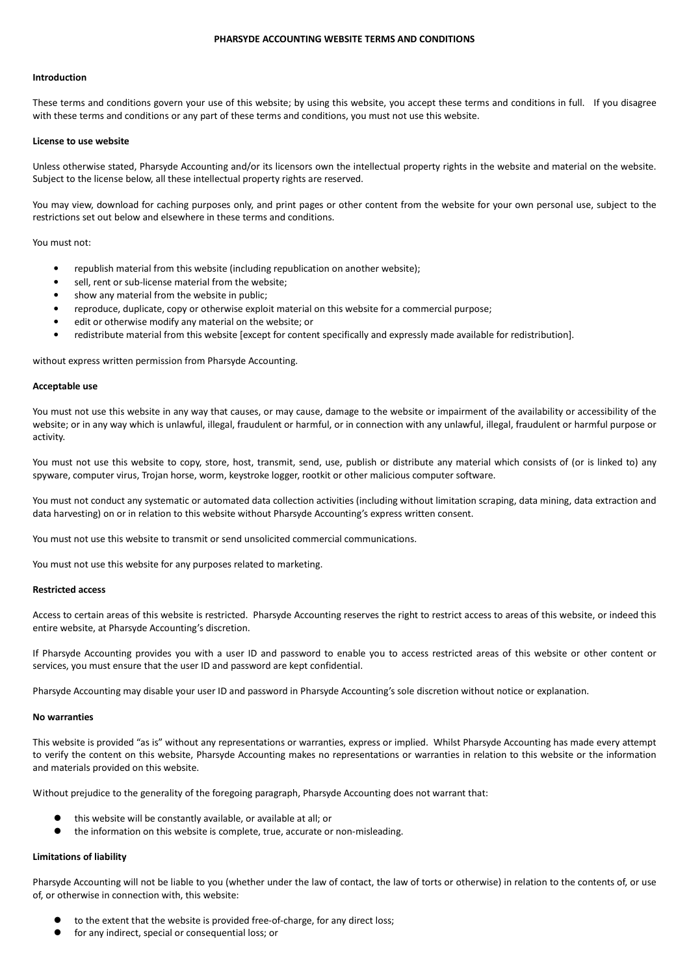# **PHARSYDE ACCOUNTING WEBSITE TERMS AND CONDITIONS**

## **Introduction**

These terms and conditions govern your use of this website; by using this website, you accept these terms and conditions in full. If you disagree with these terms and conditions or any part of these terms and conditions, you must not use this website.

#### **License to use website**

Unless otherwise stated, Pharsyde Accounting and/or its licensors own the intellectual property rights in the website and material on the website. Subject to the license below, all these intellectual property rights are reserved.

You may view, download for caching purposes only, and print pages or other content from the website for your own personal use, subject to the restrictions set out below and elsewhere in these terms and conditions.

You must not:

- republish material from this website (including republication on another website);
- sell, rent or sub-license material from the website;
- show any material from the website in public;
- reproduce, duplicate, copy or otherwise exploit material on this website for a commercial purpose;
- edit or otherwise modify any material on the website; or
- redistribute material from this website [except for content specifically and expressly made available for redistribution].

without express written permission from Pharsyde Accounting.

#### **Acceptable use**

You must not use this website in any way that causes, or may cause, damage to the website or impairment of the availability or accessibility of the website; or in any way which is unlawful, illegal, fraudulent or harmful, or in connection with any unlawful, illegal, fraudulent or harmful purpose or activity.

You must not use this website to copy, store, host, transmit, send, use, publish or distribute any material which consists of (or is linked to) any spyware, computer virus, Trojan horse, worm, keystroke logger, rootkit or other malicious computer software.

You must not conduct any systematic or automated data collection activities (including without limitation scraping, data mining, data extraction and data harvesting) on or in relation to this website without Pharsyde Accounting's express written consent.

You must not use this website to transmit or send unsolicited commercial communications.

You must not use this website for any purposes related to marketing.

## **Restricted access**

Access to certain areas of this website is restricted. Pharsyde Accounting reserves the right to restrict access to areas of this website, or indeed this entire website, at Pharsyde Accounting's discretion.

If Pharsyde Accounting provides you with a user ID and password to enable you to access restricted areas of this website or other content or services, you must ensure that the user ID and password are kept confidential.

Pharsyde Accounting may disable your user ID and password in Pharsyde Accounting's sole discretion without notice or explanation.

## **No warranties**

This website is provided "as is" without any representations or warranties, express or implied. Whilst Pharsyde Accounting has made every attempt to verify the content on this website, Pharsyde Accounting makes no representations or warranties in relation to this website or the information and materials provided on this website.

Without prejudice to the generality of the foregoing paragraph, Pharsyde Accounting does not warrant that:

- this website will be constantly available, or available at all; or
- the information on this website is complete, true, accurate or non-misleading.

## **Limitations of liability**

Pharsyde Accounting will not be liable to you (whether under the law of contact, the law of torts or otherwise) in relation to the contents of, or use of, or otherwise in connection with, this website:

- to the extent that the website is provided free-of-charge, for any direct loss;
- for any indirect, special or consequential loss; or